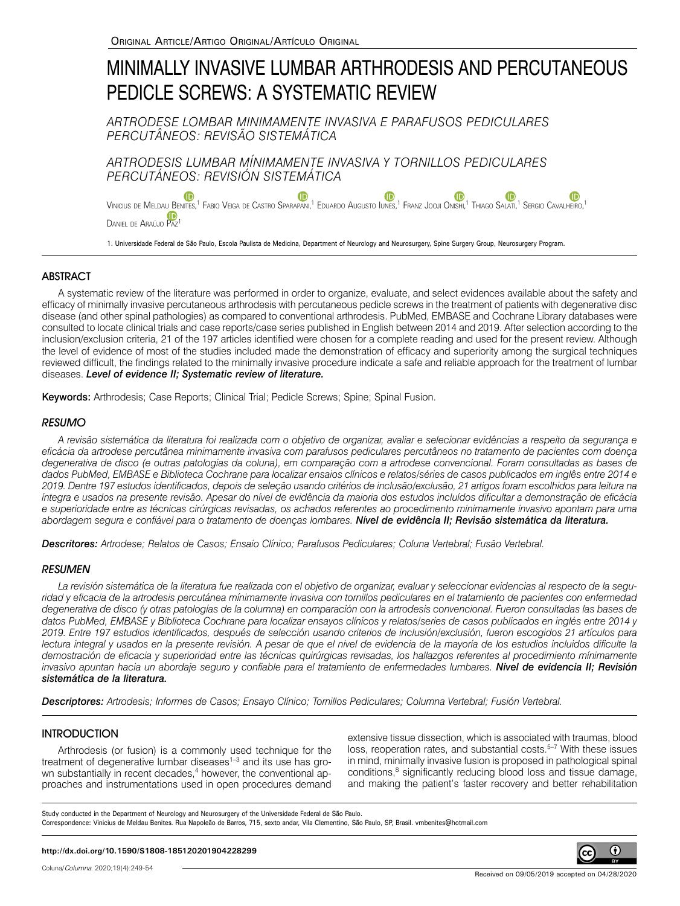# MINIMALLY INVASIVE LUMBAR ARTHRODESIS AND PERCUTANEOUS PEDICLE SCREWS: A SYSTEMATIC REVIEW

*ARTRODESE LOMBAR MINIMAMENTE INVASIVA E PARAFUSOS PEDICULARES PERCUTÂNEOS: REVISÃO SISTEMÁTICA*

*ARTRODESIS LUMBAR MÍNIMAMENTE INVASIVA Y TORNILLOS PEDICULARES PERCUTÁNEOS: REVISIÓN SISTEMÁTICA*

**ID D** Vinicius de Meldau Benites[,](https://orcid.org/0000-0002-5528-0164)<sup>1</sup> Fabio Veiga de Castro Sparapani,<sup>1</sup> Eduardo Augusto Iunes,<sup>1</sup> Franz Jooji Onishi,<sup>1</sup> Thiago Salati,<sup>1</sup> Sergio Cavalheiro,<sup>1</sup> DANIEL DE ARAÚJO PAZ

1. Universidade Federal de São Paulo, Escola Paulista de Medicina, Department of Neurology and Neurosurgery, Spine Surgery Group, Neurosurgery Program.

## **ABSTRACT**

A systematic review of the literature was performed in order to organize, evaluate, and select evidences available about the safety and efficacy of minimally invasive percutaneous arthrodesis with percutaneous pedicle screws in the treatment of patients with degenerative disc disease (and other spinal pathologies) as compared to conventional arthrodesis. PubMed, EMBASE and Cochrane Library databases were consulted to locate clinical trials and case reports/case series published in English between 2014 and 2019. After selection according to the inclusion/exclusion criteria, 21 of the 197 articles identified were chosen for a complete reading and used for the present review. Although the level of evidence of most of the studies included made the demonstration of efficacy and superiority among the surgical techniques reviewed difficult, the findings related to the minimally invasive procedure indicate a safe and reliable approach for the treatment of lumbar diseases. *Level of evidence II; Systematic review of literature.*

Keywords: Arthrodesis; Case Reports; Clinical Trial; Pedicle Screws; Spine; Spinal Fusion.

## **RESUMO**

*A revisão sistemática da literatura foi realizada com o objetivo de organizar, avaliar e selecionar evidências a respeito da segurança e eficácia da artrodese percutânea minimamente invasiva com parafusos pediculares percutâneos no tratamento de pacientes com doença degenerativa de disco (e outras patologias da coluna), em comparação com a artrodese convencional. Foram consultadas as bases de*  dados PubMed, EMBASE e Biblioteca Cochrane para localizar ensaios clínicos e relatos/séries de casos publicados em inglês entre 2014 e *2019. Dentre 197 estudos identificados, depois de seleção usando critérios de inclusão/exclusão, 21 artigos foram escolhidos para leitura na íntegra e usados na presente revisão. Apesar do nível de evidência da maioria dos estudos incluídos dificultar a demonstração de eficácia e superioridade entre as técnicas cirúrgicas revisadas, os achados referentes ao procedimento minimamente invasivo apontam para uma abordagem segura e confiável para o tratamento de doenças lombares. Nível de evidência II; Revisão sistemática da literatura.*

*Descritores: Artrodese; Relatos de Casos; Ensaio Clínico; Parafusos Pediculares; Coluna Vertebral; Fusão Vertebral.* 

### **RESUMEN**

*La revisión sistemática de la literatura fue realizada con el objetivo de organizar, evaluar y seleccionar evidencias al respecto de la seguridad y eficacia de la artrodesis percutánea mínimamente invasiva con tornillos pediculares en el tratamiento de pacientes con enfermedad degenerativa de disco (y otras patologías de la columna) en comparación con la artrodesis convencional. Fueron consultadas las bases de datos PubMed, EMBASE y Biblioteca Cochrane para localizar ensayos clínicos y relatos/series de casos publicados en inglés entre 2014 y 2019. Entre 197 estudios identificados, después de selección usando criterios de inclusión/exclusión, fueron escogidos 21 artículos para lectura integral y usados en la presente revisión. A pesar de que el nivel de evidencia de la mayoría de los estudios incluidos dificulte la demostración de eficacia y superioridad entre las técnicas quirúrgicas revisadas, los hallazgos referentes al procedimiento mínimamente invasivo apuntan hacia un abordaje seguro y confiable para el tratamiento de enfermedades lumbares. Nivel de evidencia II; Revisión sistemática de la literatura.*

*Descriptores: Artrodesis; Informes de Casos; Ensayo Clínico; Tornillos Pediculares; Columna Vertebral; Fusión Vertebral.*

### **INTRODUCTION**

Arthrodesis (or fusion) is a commonly used technique for the treatment of degenerative lumbar diseases<sup>1-3</sup> and its use has grown substantially in recent decades,<sup>4</sup> however, the conventional approaches and instrumentations used in open procedures demand extensive tissue dissection, which is associated with traumas, blood loss, reoperation rates, and substantial costs.<sup>5-7</sup> With these issues in mind, minimally invasive fusion is proposed in pathological spinal conditions,<sup>8</sup> significantly reducing blood loss and tissue damage, and making the patient's faster recovery and better rehabilitation

Study conducted in the Department of Neurology and Neurosurgery of the Universidade Federal de São Paulo. Correspondence: Vinicius de Meldau Benites. Rua Napoleão de Barros, 715, sexto andar, Vila Clementino, São Paulo, SP, Brasil. vmbenites@hotmail.com

#### **http://dx.doi.org/10.1590/S1808-185120201904228299**

0

(cc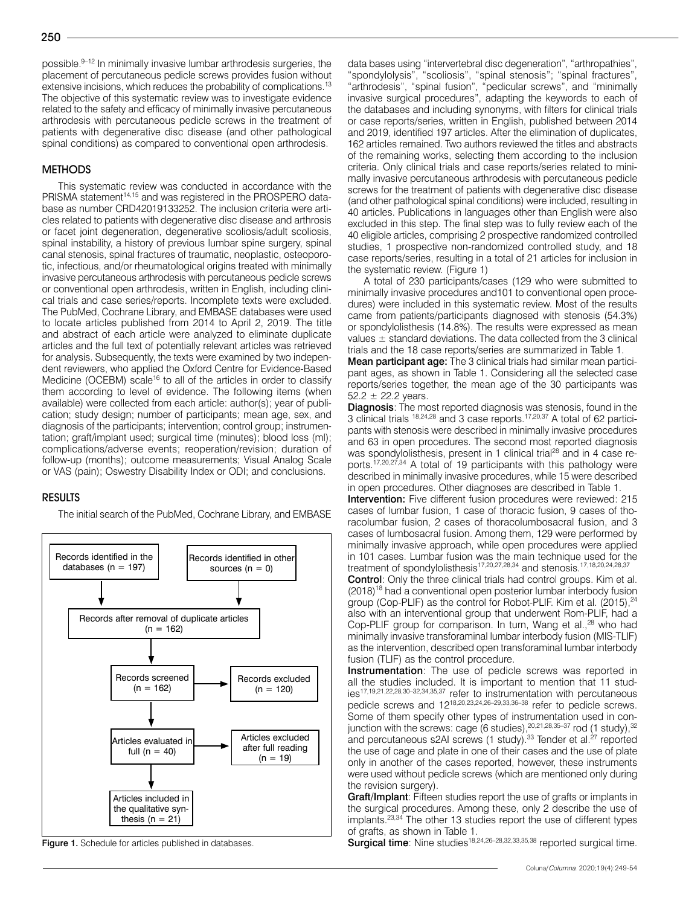possible.9–12 In minimally invasive lumbar arthrodesis surgeries, the placement of percutaneous pedicle screws provides fusion without extensive incisions, which reduces the probability of complications.<sup>13</sup> The objective of this systematic review was to investigate evidence related to the safety and efficacy of minimally invasive percutaneous arthrodesis with percutaneous pedicle screws in the treatment of patients with degenerative disc disease (and other pathological spinal conditions) as compared to conventional open arthrodesis.

### **METHODS**

This systematic review was conducted in accordance with the PRISMA statement<sup>14,15</sup> and was registered in the PROSPERO database as number CRD42019133252. The inclusion criteria were articles related to patients with degenerative disc disease and arthrosis or facet joint degeneration, degenerative scoliosis/adult scoliosis, spinal instability, a history of previous lumbar spine surgery, spinal canal stenosis, spinal fractures of traumatic, neoplastic, osteoporotic, infectious, and/or rheumatological origins treated with minimally invasive percutaneous arthrodesis with percutaneous pedicle screws or conventional open arthrodesis, written in English, including clinical trials and case series/reports. Incomplete texts were excluded. The PubMed, Cochrane Library, and EMBASE databases were used to locate articles published from 2014 to April 2, 2019. The title and abstract of each article were analyzed to eliminate duplicate articles and the full text of potentially relevant articles was retrieved for analysis. Subsequently, the texts were examined by two independent reviewers, who applied the Oxford Centre for Evidence-Based Medicine (OCEBM) scale<sup>16</sup> to all of the articles in order to classify them according to level of evidence. The following items (when available) were collected from each article: author(s); year of publication; study design; number of participants; mean age, sex, and diagnosis of the participants; intervention; control group; instrumentation; graft/implant used; surgical time (minutes); blood loss (ml); complications/adverse events; reoperation/revision; duration of follow-up (months); outcome measurements; Visual Analog Scale or VAS (pain); Oswestry Disability Index or ODI; and conclusions.

#### RESULTS

The initial search of the PubMed, Cochrane Library, and EMBASE



data bases using "intervertebral disc degeneration", "arthropathies", "spondylolysis", "scoliosis", "spinal stenosis"; "spinal fractures", "arthrodesis", "spinal fusion", "pedicular screws", and "minimally invasive surgical procedures", adapting the keywords to each of the databases and including synonyms, with filters for clinical trials or case reports/series, written in English, published between 2014 and 2019, identified 197 articles. After the elimination of duplicates, 162 articles remained. Two authors reviewed the titles and abstracts of the remaining works, selecting them according to the inclusion criteria. Only clinical trials and case reports/series related to minimally invasive percutaneous arthrodesis with percutaneous pedicle screws for the treatment of patients with degenerative disc disease (and other pathological spinal conditions) were included, resulting in 40 articles. Publications in languages other than English were also excluded in this step. The final step was to fully review each of the 40 eligible articles, comprising 2 prospective randomized controlled studies, 1 prospective non-randomized controlled study, and 18 case reports/series, resulting in a total of 21 articles for inclusion in the systematic review. (Figure 1)

A total of 230 participants/cases (129 who were submitted to minimally invasive procedures and101 to conventional open procedures) were included in this systematic review. Most of the results came from patients/participants diagnosed with stenosis (54.3%) or spondylolisthesis (14.8%). The results were expressed as mean values  $\pm$  standard deviations. The data collected from the 3 clinical trials and the 18 case reports/series are summarized in Table 1.

**Mean participant age:** The 3 clinical trials had similar mean participant ages, as shown in Table 1. Considering all the selected case reports/series together, the mean age of the 30 participants was  $52.2 \pm 22.2$  years.

**Diagnosis:** The most reported diagnosis was stenosis, found in the 3 clinical trials <sup>18,24,28</sup> and 3 case reports.<sup>17,20,37</sup> A total of 62 participants with stenosis were described in minimally invasive procedures and 63 in open procedures. The second most reported diagnosis was spondylolisthesis, present in 1 clinical trial<sup>28</sup> and in 4 case reports.17,20,27,34 A total of 19 participants with this pathology were described in minimally invasive procedures, while 15 were described in open procedures. Other diagnoses are described in Table 1.

Intervention: Five different fusion procedures were reviewed: 215 cases of lumbar fusion, 1 case of thoracic fusion, 9 cases of thoracolumbar fusion, 2 cases of thoracolumbosacral fusion, and 3 cases of lumbosacral fusion. Among them, 129 were performed by minimally invasive approach, while open procedures were applied in 101 cases. Lumbar fusion was the main technique used for the treatment of spondylolisthesis<sup>17,20,27,28,34</sup> and stenosis.<sup>17,18,20,24,28,37</sup>

Control: Only the three clinical trials had control groups. Kim et al. (2018)<sup>18</sup> had a conventional open posterior lumbar interbody fusion group (Cop-PLIF) as the control for Robot-PLIF. Kim et al. (2015),<sup>24</sup> also with an interventional group that underwent Rom-PLIF, had a Cop-PLIF group for comparison. In turn, Wang et al.,<sup>28</sup> who had minimally invasive transforaminal lumbar interbody fusion (MIS-TLIF) as the intervention, described open transforaminal lumbar interbody fusion (TLIF) as the control procedure.

Instrumentation: The use of pedicle screws was reported in all the studies included. It is important to mention that 11 studies17,19,21,22,28,30–32,34,35,37 refer to instrumentation with percutaneous pedicle screws and 1218,20,23,24,26–29,33,36–38 refer to pedicle screws. Some of them specify other types of instrumentation used in conjunction with the screws: cage (6 studies),  $20,21,28,35-37$  rod (1 study),  $32$ and percutaneous s2AI screws (1 study).<sup>33</sup> Tender et al.<sup>27</sup> reported the use of cage and plate in one of their cases and the use of plate only in another of the cases reported, however, these instruments were used without pedicle screws (which are mentioned only during the revision surgery).

Graft/Implant: Fifteen studies report the use of grafts or implants in the surgical procedures. Among these, only 2 describe the use of implants.23,34 The other 13 studies report the use of different types of grafts, as shown in Table 1.

Surgical time: Nine studies<sup>28,26–28,32,33,35,38</sup> reported surgical time.<br>**Surgical time**: Nine studies<sup>18,24,26–28,32,33,35,38</sup> reported surgical time.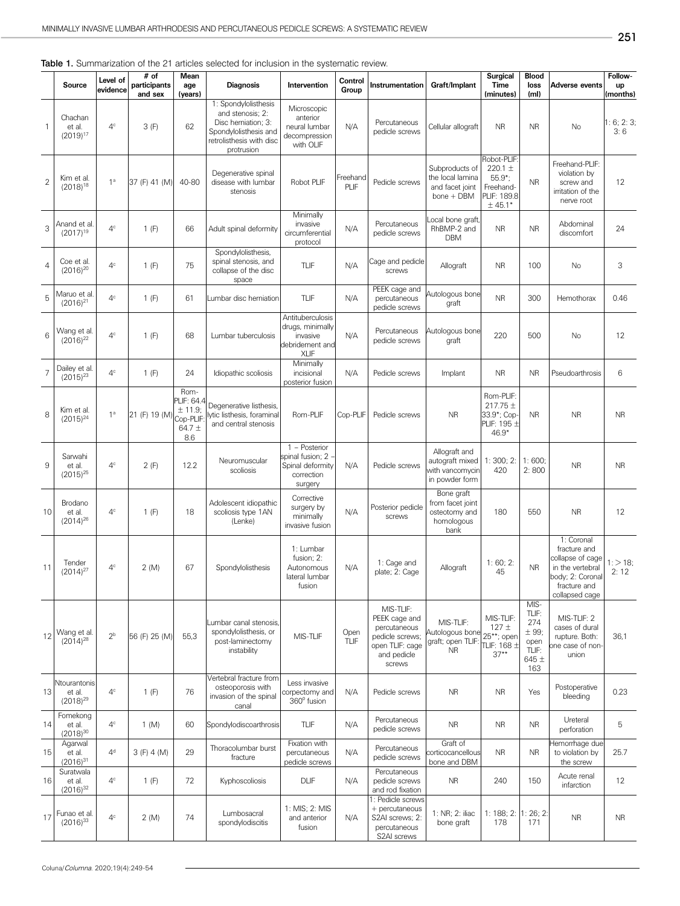|                |                                    |                      |                                   |                                                            |                                                                                                                                   |                                                                                    |                  |                                                 |                                                                     |                                                                                  |                                           |                                                                                | 251                       |
|----------------|------------------------------------|----------------------|-----------------------------------|------------------------------------------------------------|-----------------------------------------------------------------------------------------------------------------------------------|------------------------------------------------------------------------------------|------------------|-------------------------------------------------|---------------------------------------------------------------------|----------------------------------------------------------------------------------|-------------------------------------------|--------------------------------------------------------------------------------|---------------------------|
|                | Source                             | Level of<br>evidence | $#$ of<br>participants<br>and sex | Mean<br>age<br>(years)                                     | able 1. Summarization of the 21 articles selected for inclusion in the systematic review.<br><b>Diagnosis</b>                     | Intervention                                                                       | Control<br>Group | Instrumentation                                 | Graft/Implant                                                       | <b>Surgical</b><br><b>Time</b><br>(minutes)                                      | <b>Blood</b><br>loss<br>(m <sub>l</sub> ) | Adverse events                                                                 | Follow-<br>up<br>(months) |
| $\mathbf{1}$   | Chachan<br>et al.<br>$(2019)^{17}$ | 4 <sup>c</sup>       | 3(F)                              | 62                                                         | 1: Spondylolisthesis<br>and stenosis: 2:<br>Disc hemiation; 3:<br>Spondylolisthesis and<br>retrolisthesis with disc<br>protrusion | Microscopic<br>anterior<br>neural lumbar<br>decompression<br>with OLIF             | N/A              | Percutaneous<br>pedicle screws                  | Cellular allograft                                                  | <b>NR</b>                                                                        | <b>NR</b>                                 | <b>No</b>                                                                      | 1:6;2:3;<br>3:6           |
| $\overline{2}$ | Kim et al.<br>$(2018)^{18}$        | 1 <sup>a</sup>       | 37 (F) 41 (M)                     | 40-80                                                      | Degenerative spinal<br>disease with lumbar<br>stenosis                                                                            | Robot PLIF                                                                         | Freehand<br>PLIF | Pedicle screws                                  | Subproducts of<br>the local lamina<br>and facet joint<br>bone + DBM | Robot-PLIF:<br>220.1 $\pm$<br>$55.9$ *;<br>Freehand-<br>PLIF: 189.8<br>$± 45.1*$ | <b>NR</b>                                 | Freehand-PLIF:<br>violation by<br>screw and<br>irritation of the<br>nerve root | 12                        |
| 3              | Anand et al.<br>$(2017)^{19}$      | $4^\circ$            | 1(F)                              | 66                                                         | Adult spinal deformity                                                                                                            | Minimally<br>invasive<br>circumferential<br>protocol                               | N/A              | Percutaneous<br>pedicle screws                  | ocal bone graft,<br>RhBMP-2 and<br>DBM                              | <b>NR</b>                                                                        | <b>NR</b>                                 | Abdominal<br>discomfort                                                        | 24                        |
| 4              | Coe et al.<br>$(2016)^{20}$        | 4 <sup>c</sup>       | 1(F)                              | 75                                                         | Spondylolisthesis,<br>spinal stenosis, and<br>collapse of the disc<br>space                                                       | TLIF                                                                               | N/A              | Cage and pedicle<br>screws                      | Allograft                                                           | <b>NR</b>                                                                        | 100                                       | No                                                                             | 3                         |
| 5              | Maruo et al.<br>$(2016)^{21}$      | 4 <sup>c</sup>       | 1(F)                              | 61                                                         | Lumbar disc herniation                                                                                                            | <b>TLIF</b>                                                                        | N/A              | PEEK cage and<br>percutaneous<br>pedicle screws | Autologous bone<br>graft                                            | <b>NR</b>                                                                        | 300                                       | Hemothorax                                                                     | 0.46                      |
| 6              | Wang et al.<br>$(2016)^{22}$       | $4^\circ$            | 1(F)                              | 68                                                         | Lumbar tuberculosis                                                                                                               | Antituberculosis<br>drugs, minimally<br>invasive<br>debridement and<br><b>XLIF</b> | N/A              | Percutaneous<br>pedicle screws                  | Autologous bone<br>graft                                            | 220                                                                              | 500                                       | <b>No</b>                                                                      | 12                        |
|                | Dailey et al.<br>$(2015)^{23}$     | 4 <sup>c</sup>       | 1(F)                              | 24                                                         | Idiopathic scoliosis                                                                                                              | Minimally<br>incisional<br>posterior fusion                                        | N/A              | Pedicle screws                                  | Implant                                                             | NR.                                                                              | <b>NR</b>                                 | Pseudoarthrosis                                                                | 6                         |
| 8              | Kim et al.<br>$(2015)^{24}$        | 1 <sup>a</sup>       | 21 (F) 19 (M)                     | Rom-<br>PLIF: 64.4<br>± 11.9;<br>Cop-PLIF<br>64.7 ±<br>8.6 | Degenerative listhesis,<br>lytic listhesis, foraminal<br>and central stenosis                                                     | Rom-PLIF                                                                           | Cop-PLIF         | Pedicle screws                                  | <b>NR</b>                                                           | Rom-PLIF:<br>$217.75 \pm$<br>33.9*; Cop-<br>PLIF: 195 ±<br>$46.9*$               | <b>NR</b>                                 | <b>NR</b>                                                                      | <b>NR</b>                 |
| 9              | Sarwahi<br>et al.<br>12015125      | 4 <sup>c</sup>       | 2(F)                              | 12.2                                                       | Neuromuscular<br>scoliosis                                                                                                        | 1 - Posterior<br>spinal fusion: 2 -<br>Spinal deformity<br>correction              | N/A              | Pedicle screws                                  | Allograft and<br>autograft mixed<br>with vancomycin                 | 1:300;2:<br>420                                                                  | 1:600;<br>2:800                           | <b>NR</b>                                                                      | <b>NR</b>                 |

Table 1. Summarization of the 21

2 | Kim et al.<br>(2018)<sup>18</sup>

1

| Maruo et al.<br>$(2016)^{21}$           | 4 <sup>c</sup> | 1(F)          | 61                                                             | Lumbar disc herniation                                                            | TLIF                                                                  | N/A                        | PEEK cage and<br>percutaneous<br>pedicle screws                                                           | graft                                                                 | <b>NR</b>                                                            | 300                                                               | Hemothorax                                                                                                               | 0.46               |
|-----------------------------------------|----------------|---------------|----------------------------------------------------------------|-----------------------------------------------------------------------------------|-----------------------------------------------------------------------|----------------------------|-----------------------------------------------------------------------------------------------------------|-----------------------------------------------------------------------|----------------------------------------------------------------------|-------------------------------------------------------------------|--------------------------------------------------------------------------------------------------------------------------|--------------------|
| Wang et al.<br>$(2016)^{22}$            | $4^\circ$      | 1(F)          | 68                                                             | Lumbar tuberculosis                                                               | Antituberculosis<br>drugs, minimally<br>invasive<br>XLIF              | N/A                        | Percutaneous<br>pedicle screws                                                                            | Autologous bone<br>graft                                              | 220                                                                  | 500                                                               | <b>No</b>                                                                                                                | 12                 |
| Dailey et al.<br>$(2015)^{23}$          | $4^\circ$      | 1(F)          | 24                                                             | Idiopathic scoliosis                                                              | incisional<br>posterior fusion                                        | N/A                        | Pedicle screws                                                                                            | Implant                                                               | <b>NR</b>                                                            | <b>NR</b>                                                         | Pseudoarthrosis                                                                                                          | 6                  |
| Kim et al.<br>$(2015)^{24}$             | 1 <sup>a</sup> | 21 (F) 19 (M) | Rom-<br>PLIF: 64.4<br>± 11.9;<br>Cop-PLIF<br>64.7 $\pm$<br>8.6 | Degenerative listhesis,<br>lytic listhesis, foraminal<br>and central stenosis     | Rom-PLIF                                                              | Cop-PLIF                   | Pedicle screws                                                                                            | <b>NR</b>                                                             | Rom-PLIF:<br>$217.75 \pm$<br>33.9*; Cop-<br>PLIF: $195 \pm$<br>46.9* | <b>NR</b>                                                         | <b>NR</b>                                                                                                                | <b>NR</b>          |
| Sarwahi<br>et al.<br>$(2015)^{25}$      | 4 <sup>c</sup> | 2(F)          | 12.2                                                           | Neuromuscular<br>scoliosis                                                        | spinal fusion; $2 \cdot$<br>Spinal deformity<br>correction<br>surgery | N/A                        | Pedicle screws                                                                                            | Allograft and<br>autograft mixed<br>with vancomycir<br>in powder form | 1:300;2:<br>420                                                      | 1:600:<br>2:800                                                   | <b>NR</b>                                                                                                                | <b>NR</b>          |
| Brodano<br>et al.<br>$(2014)^{26}$      | $4^\circ$      | 1(F)          | 18                                                             | Adolescent idiopathic<br>scoliosis type 1AN<br>(Lenke)                            | Corrective<br>surgery by<br>minimally<br>invasive fusion              | N/A                        | Posterior pedicle<br>screws                                                                               | Bone graft<br>from facet joint<br>osteotomy and<br>homologous<br>bank | 180                                                                  | 550                                                               | <b>NR</b>                                                                                                                | 12                 |
| Tender<br>$(2014)^{27}$                 | 4 <sup>c</sup> | 2(M)          | 67                                                             | Spondylolisthesis                                                                 | 1: Lumbar<br>fusion: 2:<br>Autonomous<br>lateral lumbar<br>fusion     | N/A                        | 1: Cage and<br>plate; 2: Cage                                                                             | Allograft                                                             | 1:60;2:<br>45                                                        | <b>NR</b>                                                         | 1: Coronal<br>fracture and<br>collapse of cage<br>in the vertebral<br>body; 2: Coronal<br>fracture and<br>collapsed cage | $1:$ > 18;<br>2:12 |
| Wang et al.<br>$(2014)^{28}$            | 2 <sup>b</sup> | 56 (F) 25 (M) | 55.3                                                           | Lumbar canal stenosis<br>spondylolisthesis, or<br>post-laminectomy<br>instability | MIS-TLIF                                                              | Open<br>TLIF               | MIS-TLIF:<br>PEEK cage and<br>percutaneous<br>pedicle screws;<br>open TLIF: cage<br>and pedicle<br>screws | MIS-TLIF:<br>Autologous bone<br>graft; open TLIF<br><b>NR</b>         | MIS-TLIF:<br>$127 +$<br>25**; open<br>TLIF: 168 $\pm$<br>$37**$      | MIS-<br>TLIF:<br>274<br>$± 99$ ;<br>open<br>TLIF:<br>645 ±<br>163 | MIS-TLIF: 2<br>cases of dural<br>rupture. Both:<br>one case of non-<br>union                                             | 36.1               |
| Ntourantonis<br>et al.<br>$(2018)^{29}$ | 4 <sup>c</sup> | 1(F)          | 76                                                             | Vertebral fracture from<br>osteoporosis with<br>invasion of the spinal<br>canal   | Less invasive<br>corpectomy and<br>360° fusion                        | N/A                        | Pedicle screws                                                                                            | <b>NR</b>                                                             | <b>NR</b>                                                            | Yes                                                               | Postoperative<br>bleeding                                                                                                | 0.23               |
| Fomekong<br>et al.<br>$(2018)^{30}$     | $4^\circ$      | 1 (M)         | 60                                                             | Spondylodiscoarthrosis                                                            | TLIF                                                                  | N/A                        | Percutaneous<br>pedicle screws                                                                            | <b>NR</b>                                                             | <b>NR</b>                                                            | <b>NR</b>                                                         | Ureteral<br>perforation                                                                                                  | 5                  |
| Agarwal<br>et al.<br>$(2016)^{31}$      | 4 <sup>d</sup> | 3(F) 4(M)     | 29                                                             | Thoracolumbar burst<br>fracture                                                   | Fixation with<br>percutaneous<br>pedicle screws                       | N/A                        | Percutaneous<br>pedicle screws                                                                            | Graft of<br>bone and DBM                                              | <b>NR</b>                                                            | <b>NR</b>                                                         | Hemorrhage due<br>to violation by<br>the screw                                                                           | 25.7               |
| Suratwala<br>et al.<br>$(2016)^{32}$    | $4^\circ$      | 1(F)          | 72                                                             | Kyphoscoliosis                                                                    | <b>DLIF</b>                                                           | N/A                        | Percutaneous<br>pedicle screws<br>and rod fixation                                                        | <b>NR</b>                                                             | 240                                                                  | 150                                                               | Acute renal<br>infarction                                                                                                | 12                 |
| Funao et al.<br>$(2016)^{33}$           | 4 <sup>c</sup> | 2(M)          | 74                                                             | Lumbosacral<br>spondylodiscitis                                                   | 1: MIS; 2: MIS<br>and anterior<br>fusion                              | N/A                        | 1: Pedicle screws<br>+ percutaneous<br>S2AI screws; 2:<br>percutaneous<br>S2AI screws                     | 1: NR; 2: iliac<br>bone graft                                         | 178                                                                  | 171                                                               | <b>NR</b>                                                                                                                | <b>NR</b>          |
|                                         |                |               |                                                                |                                                                                   |                                                                       | Minimally<br>1 - Posterior | debridement and                                                                                           |                                                                       |                                                                      | Autologous bone<br>corticocancellous                              | 1: 188; 2: 1: 26; 2                                                                                                      |                    |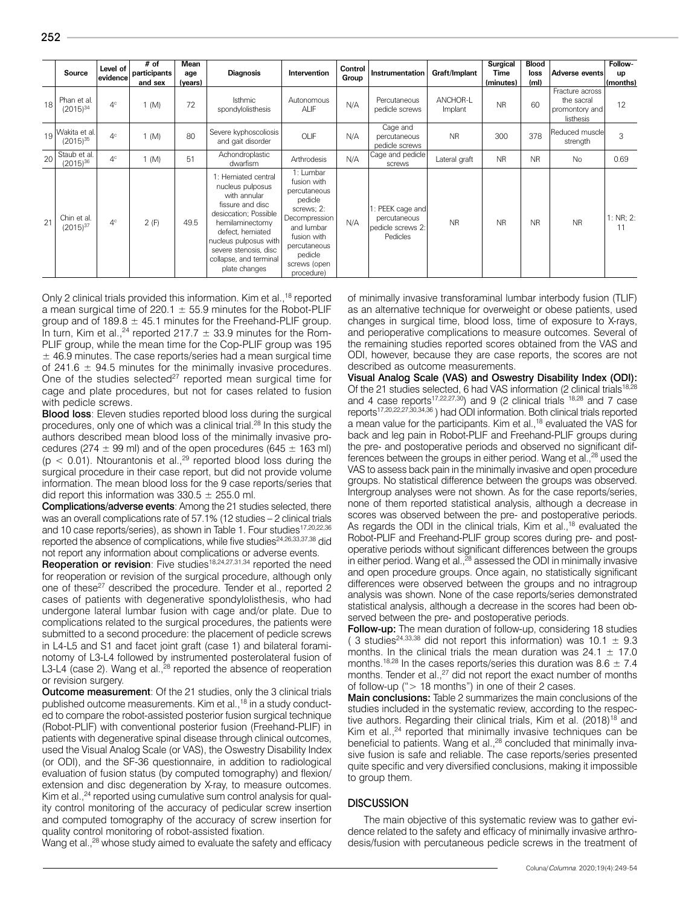| . .     |  |
|---------|--|
| ╭<br>a. |  |

|    |                                | Level of       | $#$ of       | Mean    |                                                                                                                                                                                                                                            |                                                                                                                                                                          | Control |                                                                |                     | <b>Surgical</b> | <b>Blood</b>      |                                                              | Follow-         |
|----|--------------------------------|----------------|--------------|---------|--------------------------------------------------------------------------------------------------------------------------------------------------------------------------------------------------------------------------------------------|--------------------------------------------------------------------------------------------------------------------------------------------------------------------------|---------|----------------------------------------------------------------|---------------------|-----------------|-------------------|--------------------------------------------------------------|-----------------|
|    | Source                         | levidencel     | participants | age     | <b>Diagnosis</b>                                                                                                                                                                                                                           | Intervention                                                                                                                                                             | Group   | Instrumentation                                                | Graft/Implant       | Time            | loss              | Adverse events                                               | up              |
|    |                                |                | and sex      | (years) |                                                                                                                                                                                                                                            |                                                                                                                                                                          |         |                                                                |                     | (minutes)       | (m <sub>l</sub> ) |                                                              | (months)        |
| 18 | Phan et al.<br>$(2015)^{34}$   | $4^\circ$      | (M)          | 72      | <b>Isthmic</b><br>spondylolisthesis                                                                                                                                                                                                        | Autonomous<br><b>ALIF</b>                                                                                                                                                | N/A     | Percutaneous<br>pedicle screws                                 | ANCHOR-L<br>Implant | <b>NR</b>       | 60                | Fracture across<br>the sacral<br>promontory and<br>listhesis | 12              |
| 19 | Wakita et al.<br>$(2015)^{35}$ | $4^\circ$      | 1 (M)        | 80      | Severe kyphoscoliosis<br>and gait disorder                                                                                                                                                                                                 | OLIF                                                                                                                                                                     | N/A     | Cage and<br>percutaneous<br>pedicle screws                     | <b>NR</b>           | 300             | 378               | Reduced muscle<br>strength                                   | 3               |
| 20 | Staub et al.<br>$(2015)^{36}$  | 4 <sup>c</sup> | (M)          | 51      | Achondroplastic<br>dwarfism                                                                                                                                                                                                                | Arthrodesis                                                                                                                                                              | N/A     | Cage and pedicle<br>screws                                     | Lateral graft       | <b>NR</b>       | <b>NR</b>         | <b>No</b>                                                    | 0.69            |
| 21 | Chin et al.<br>$(2015)^{37}$   | 4 <sup>c</sup> | 2(F)         | 49.5    | 1: Herniated central<br>nucleus pulposus<br>with annular<br>fissure and disc<br>desiccation: Possible<br>hemilaminectomy<br>defect, herniated<br>nucleus pulposus with<br>severe stenosis, disc<br>collapse, and terminal<br>plate changes | 1: Lumbar<br>fusion with<br>percutaneous<br>pedicle<br>screws; 2:<br>Decompression<br>and lumbar<br>fusion with<br>percutaneous<br>pedicle<br>screws (open<br>procedure) | N/A     | PEEK cage and<br>percutaneous<br>pedicle screws 2:<br>Pedicles | <b>NR</b>           | <b>NR</b>       | NR                | <b>NR</b>                                                    | 1: NR; 2:<br>11 |

Only 2 clinical trials provided this information. Kim et al.,<sup>18</sup> reported a mean surgical time of 220.1  $\pm$  55.9 minutes for the Robot-PLIF group and of  $189.8 \pm 45.1$  minutes for the Freehand-PLIF group. In turn, Kim et al.,<sup>24</sup> reported 217.7  $\pm$  33.9 minutes for the Rom-PLIF group, while the mean time for the Cop-PLIF group was 195  $\pm$  46.9 minutes. The case reports/series had a mean surgical time of 241.6  $\pm$  94.5 minutes for the minimally invasive procedures. One of the studies selected<sup>27</sup> reported mean surgical time for cage and plate procedures, but not for cases related to fusion with pedicle screws.

Blood loss: Eleven studies reported blood loss during the surgical procedures, only one of which was a clinical trial.<sup>28</sup> In this study the authors described mean blood loss of the minimally invasive procedures (274  $\pm$  99 ml) and of the open procedures (645  $\pm$  163 ml) ( $p < 0.01$ ). Ntourantonis et al.,<sup>29</sup> reported blood loss during the surgical procedure in their case report, but did not provide volume information. The mean blood loss for the 9 case reports/series that did report this information was  $330.5 \pm 255.0$  ml.

Complications/adverse events: Among the 21 studies selected, there was an overall complications rate of 57.1% (12 studies – 2 clinical trials and 10 case reports/series), as shown in Table 1. Four studies<sup>17,20,22,36</sup> reported the absence of complications, while five studies<sup>24,26,33,37,38</sup> did not report any information about complications or adverse events.

Reoperation or revision: Five studies<sup>18,24,27,31,34</sup> reported the need for reoperation or revision of the surgical procedure, although only one of these<sup>27</sup> described the procedure. Tender et al., reported 2 cases of patients with degenerative spondylolisthesis, who had undergone lateral lumbar fusion with cage and/or plate. Due to complications related to the surgical procedures, the patients were submitted to a second procedure: the placement of pedicle screws in L4-L5 and S1 and facet joint graft (case 1) and bilateral foraminotomy of L3-L4 followed by instrumented posterolateral fusion of L3-L4 (case 2). Wang et al., $^{28}$  reported the absence of reoperation or revision surgery.

**Outcome measurement:** Of the 21 studies, only the 3 clinical trials published outcome measurements. Kim et al.,<sup>18</sup> in a study conducted to compare the robot-assisted posterior fusion surgical technique (Robot-PLIF) with conventional posterior fusion (Freehand-PLIF) in patients with degenerative spinal disease through clinical outcomes, used the Visual Analog Scale (or VAS), the Oswestry Disability Index (or ODI), and the SF-36 questionnaire, in addition to radiological evaluation of fusion status (by computed tomography) and flexion/ extension and disc degeneration by X-ray, to measure outcomes. Kim et al.,<sup>24</sup> reported using cumulative sum control analysis for quality control monitoring of the accuracy of pedicular screw insertion and computed tomography of the accuracy of screw insertion for quality control monitoring of robot-assisted fixation.

Wang et al.,<sup>28</sup> whose study aimed to evaluate the safety and efficacy

of minimally invasive transforaminal lumbar interbody fusion (TLIF) as an alternative technique for overweight or obese patients, used changes in surgical time, blood loss, time of exposure to X-rays, and perioperative complications to measure outcomes. Several of the remaining studies reported scores obtained from the VAS and ODI, however, because they are case reports, the scores are not described as outcome measurements.

Visual Analog Scale (VAS) and Oswestry Disability Index (ODI): Of the 21 studies selected, 6 had VAS information (2 clinical trials<sup>18,28</sup>) and 4 case reports<sup>17,22,27,30</sup>) and 9 (2 clinical trials  $18,28$  and 7 case reports17,20,22,27,30,34,36 ) had ODI information. Both clinical trials reported a mean value for the participants. Kim et al.,18 evaluated the VAS for back and leg pain in Robot-PLIF and Freehand-PLIF groups during the pre- and postoperative periods and observed no significant differences between the groups in either period. Wang et al.,<sup>28</sup> used the VAS to assess back pain in the minimally invasive and open procedure groups. No statistical difference between the groups was observed. Intergroup analyses were not shown. As for the case reports/series, none of them reported statistical analysis, although a decrease in scores was observed between the pre- and postoperative periods. As regards the ODI in the clinical trials, Kim et al.,<sup>18</sup> evaluated the Robot-PLIF and Freehand-PLIF group scores during pre- and postoperative periods without significant differences between the groups in either period. Wang et al.,<sup>28</sup> assessed the ODI in minimally invasive and open procedure groups. Once again, no statistically significant differences were observed between the groups and no intragroup analysis was shown. None of the case reports/series demonstrated statistical analysis, although a decrease in the scores had been observed between the pre- and postoperative periods.

Follow-up: The mean duration of follow-up, considering 18 studies ( 3 studies<sup>24,33,38</sup> did not report this information) was  $10.1 \pm 9.3$ months. In the clinical trials the mean duration was  $24.1 \pm 17.0$ months.<sup>18,28</sup> In the cases reports/series this duration was 8.6  $\pm$  7.4 months. Tender et al.,<sup>27</sup> did not report the exact number of months of follow-up ("> 18 months") in one of their 2 cases.

Main conclusions: Table 2 summarizes the main conclusions of the studies included in the systematic review, according to the respective authors. Regarding their clinical trials, Kim et al.  $(2018)^{18}$  and Kim et al.,<sup>24</sup> reported that minimally invasive techniques can be beneficial to patients. Wang et al.,<sup>28</sup> concluded that minimally invasive fusion is safe and reliable. The case reports/series presented quite specific and very diversified conclusions, making it impossible to group them.

### **DISCUSSION**

The main objective of this systematic review was to gather evidence related to the safety and efficacy of minimally invasive arthrodesis/fusion with percutaneous pedicle screws in the treatment of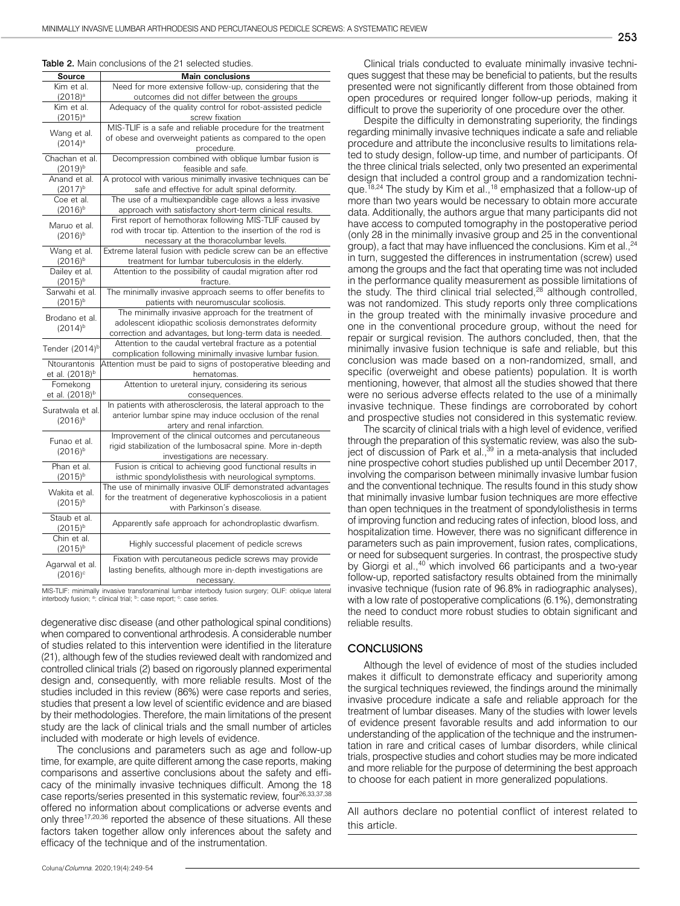#### Table 2. Main conclusions of the 21 selected studies.

| Source                               | <b>Main conclusions</b>                                       |  |  |  |  |  |  |  |
|--------------------------------------|---------------------------------------------------------------|--|--|--|--|--|--|--|
| Kim et al.                           | Need for more extensive follow-up, considering that the       |  |  |  |  |  |  |  |
| $(2018)^a$                           | outcomes did not differ between the groups                    |  |  |  |  |  |  |  |
| Kim et al.                           | Adequacy of the quality control for robot-assisted pedicle    |  |  |  |  |  |  |  |
| $(2015)^{a}$                         | screw fixation                                                |  |  |  |  |  |  |  |
|                                      | MIS-TLIF is a safe and reliable procedure for the treatment   |  |  |  |  |  |  |  |
| Wang et al.<br>$(2014)$ <sup>a</sup> | of obese and overweight patients as compared to the open      |  |  |  |  |  |  |  |
|                                      | procedure.                                                    |  |  |  |  |  |  |  |
| Chachan et al.                       | Decompression combined with oblique lumbar fusion is          |  |  |  |  |  |  |  |
| $(2019)^{b}$                         | feasible and safe.                                            |  |  |  |  |  |  |  |
| Anand et al.                         | A protocol with various minimally invasive techniques can be  |  |  |  |  |  |  |  |
| $(2017)^{b}$                         | safe and effective for adult spinal deformity.                |  |  |  |  |  |  |  |
| Coe et al.                           | The use of a multiexpandible cage allows a less invasive      |  |  |  |  |  |  |  |
| $(2016)^{b}$                         | approach with satisfactory short-term clinical results.       |  |  |  |  |  |  |  |
|                                      | First report of hemothorax following MIS-TLIF caused by       |  |  |  |  |  |  |  |
| Maruo et al.                         | rod with trocar tip. Attention to the insertion of the rod is |  |  |  |  |  |  |  |
| $(2016)^{b}$                         | necessary at the thoracolumbar levels.                        |  |  |  |  |  |  |  |
| Wang et al.                          | Extreme lateral fusion with pedicle screw can be an effective |  |  |  |  |  |  |  |
| $(2016)^{b}$                         | treatment for lumbar tuberculosis in the elderly.             |  |  |  |  |  |  |  |
| Dailey et al.                        | Attention to the possibility of caudal migration after rod    |  |  |  |  |  |  |  |
| $(2015)^{b}$                         | fracture.                                                     |  |  |  |  |  |  |  |
| Sarwahi et al.                       | The minimally invasive approach seems to offer benefits to    |  |  |  |  |  |  |  |
| $(2015)^{b}$                         | patients with neuromuscular scoliosis.                        |  |  |  |  |  |  |  |
|                                      | The minimally invasive approach for the treatment of          |  |  |  |  |  |  |  |
| Brodano et al.                       | adolescent idiopathic scoliosis demonstrates deformity        |  |  |  |  |  |  |  |
| $(2014)^{b}$                         | correction and advantages, but long-term data is needed.      |  |  |  |  |  |  |  |
|                                      | Attention to the caudal vertebral fracture as a potential     |  |  |  |  |  |  |  |
| Tender (2014) <sup>b</sup>           | complication following minimally invasive lumbar fusion.      |  |  |  |  |  |  |  |
| Ntourantonis                         | Attention must be paid to signs of postoperative bleeding and |  |  |  |  |  |  |  |
| et al. (2018) <sup>b</sup>           | hematomas.                                                    |  |  |  |  |  |  |  |
| Fomekong                             | Attention to ureteral injury, considering its serious         |  |  |  |  |  |  |  |
| et al. (2018) <sup>b</sup>           | consequences.                                                 |  |  |  |  |  |  |  |
| Suratwala et al.                     | In patients with atherosclerosis, the lateral approach to the |  |  |  |  |  |  |  |
| $(2016)^{b}$                         | anterior lumbar spine may induce occlusion of the renal       |  |  |  |  |  |  |  |
|                                      | artery and renal infarction.                                  |  |  |  |  |  |  |  |
| Funao et al.                         | Improvement of the clinical outcomes and percutaneous         |  |  |  |  |  |  |  |
| $(2016)^{b}$                         | rigid stabilization of the lumbosacral spine. More in-depth   |  |  |  |  |  |  |  |
|                                      | investigations are necessary.                                 |  |  |  |  |  |  |  |
| Phan et al.                          | Fusion is critical to achieving good functional results in    |  |  |  |  |  |  |  |
| $(2015)^{b}$                         | isthmic spondylolisthesis with neurological symptoms.         |  |  |  |  |  |  |  |
| Wakita et al.                        | The use of minimally invasive OLIF demonstrated advantages    |  |  |  |  |  |  |  |
| $(2015)^{b}$                         | for the treatment of degenerative kyphoscoliosis in a patient |  |  |  |  |  |  |  |
|                                      | with Parkinson's disease.                                     |  |  |  |  |  |  |  |
| Staub et al.                         | Apparently safe approach for achondroplastic dwarfism.        |  |  |  |  |  |  |  |
| $(2015)^{b}$                         |                                                               |  |  |  |  |  |  |  |
| Chin et al.                          | Highly successful placement of pedicle screws                 |  |  |  |  |  |  |  |
| $(2015)^{b}$                         |                                                               |  |  |  |  |  |  |  |
| Agarwal et al.                       | Fixation with percutaneous pedicle screws may provide         |  |  |  |  |  |  |  |
| $(2016)$ <sup>c</sup>                | lasting benefits, although more in-depth investigations are   |  |  |  |  |  |  |  |
|                                      | necessary.                                                    |  |  |  |  |  |  |  |

MIS-TLIF: minimally invasive transforaminal lumbar interbody fusion surgery; OLIF: oblique lateral interbody fusion; <sup>a</sup>: clinical trial; <sup>b</sup>: case report; <sup>c</sup>: case series.

degenerative disc disease (and other pathological spinal conditions) when compared to conventional arthrodesis. A considerable number of studies related to this intervention were identified in the literature (21), although few of the studies reviewed dealt with randomized and controlled clinical trials (2) based on rigorously planned experimental design and, consequently, with more reliable results. Most of the studies included in this review (86%) were case reports and series, studies that present a low level of scientific evidence and are biased by their methodologies. Therefore, the main limitations of the present study are the lack of clinical trials and the small number of articles included with moderate or high levels of evidence.

The conclusions and parameters such as age and follow-up time, for example, are quite different among the case reports, making comparisons and assertive conclusions about the safety and efficacy of the minimally invasive techniques difficult. Among the 18 case reports/series presented in this systematic review, four<sup>26,33,37,38</sup> offered no information about complications or adverse events and only three<sup>17,20,36</sup> reported the absence of these situations. All these factors taken together allow only inferences about the safety and efficacy of the technique and of the instrumentation.

Clinical trials conducted to evaluate minimally invasive techniques suggest that these may be beneficial to patients, but the results presented were not significantly different from those obtained from open procedures or required longer follow-up periods, making it difficult to prove the superiority of one procedure over the other.

Despite the difficulty in demonstrating superiority, the findings regarding minimally invasive techniques indicate a safe and reliable procedure and attribute the inconclusive results to limitations related to study design, follow-up time, and number of participants. Of the three clinical trials selected, only two presented an experimental design that included a control group and a randomization technique.<sup>18,24</sup> The study by Kim et al.,<sup>18</sup> emphasized that a follow-up of more than two years would be necessary to obtain more accurate data. Additionally, the authors argue that many participants did not have access to computed tomography in the postoperative period (only 28 in the minimally invasive group and 25 in the conventional group), a fact that may have influenced the conclusions. Kim et al., <sup>24</sup> in turn, suggested the differences in instrumentation (screw) used among the groups and the fact that operating time was not included in the performance quality measurement as possible limitations of the study. The third clinical trial selected, $28$  although controlled, was not randomized. This study reports only three complications in the group treated with the minimally invasive procedure and one in the conventional procedure group, without the need for repair or surgical revision. The authors concluded, then, that the minimally invasive fusion technique is safe and reliable, but this conclusion was made based on a non-randomized, small, and specific (overweight and obese patients) population. It is worth mentioning, however, that almost all the studies showed that there were no serious adverse effects related to the use of a minimally invasive technique. These findings are corroborated by cohort and prospective studies not considered in this systematic review.

The scarcity of clinical trials with a high level of evidence, verified through the preparation of this systematic review, was also the subject of discussion of Park et al.,<sup>39</sup> in a meta-analysis that included nine prospective cohort studies published up until December 2017, involving the comparison between minimally invasive lumbar fusion and the conventional technique. The results found in this study show that minimally invasive lumbar fusion techniques are more effective than open techniques in the treatment of spondylolisthesis in terms of improving function and reducing rates of infection, blood loss, and hospitalization time. However, there was no significant difference in parameters such as pain improvement, fusion rates, complications, or need for subsequent surgeries. In contrast, the prospective study by Giorgi et al.,<sup>40</sup> which involved 66 participants and a two-year follow-up, reported satisfactory results obtained from the minimally invasive technique (fusion rate of 96.8% in radiographic analyses), with a low rate of postoperative complications (6.1%), demonstrating the need to conduct more robust studies to obtain significant and reliable results.

### **CONCLUSIONS**

Although the level of evidence of most of the studies included makes it difficult to demonstrate efficacy and superiority among the surgical techniques reviewed, the findings around the minimally invasive procedure indicate a safe and reliable approach for the treatment of lumbar diseases. Many of the studies with lower levels of evidence present favorable results and add information to our understanding of the application of the technique and the instrumentation in rare and critical cases of lumbar disorders, while clinical trials, prospective studies and cohort studies may be more indicated and more reliable for the purpose of determining the best approach to choose for each patient in more generalized populations.

All authors declare no potential conflict of interest related to this article.